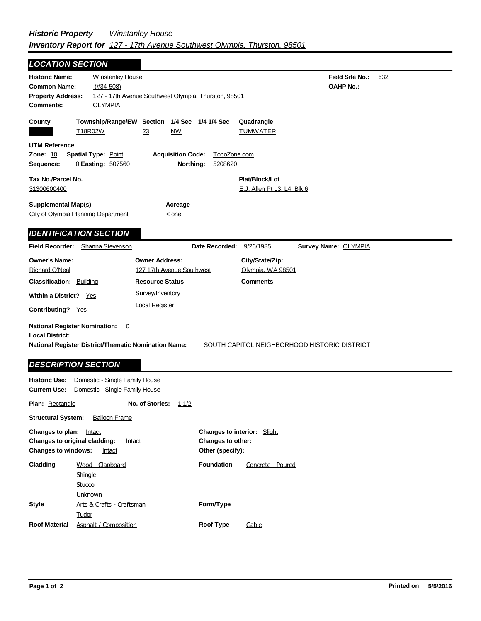| <b>LOCATION SECTION</b>                                                                                                       |                                                                  |                                                                  |                         |                                                |                                              |     |
|-------------------------------------------------------------------------------------------------------------------------------|------------------------------------------------------------------|------------------------------------------------------------------|-------------------------|------------------------------------------------|----------------------------------------------|-----|
| <b>Historic Name:</b><br><b>Common Name:</b><br><b>Property Address:</b><br><b>Comments:</b>                                  | <b>Winstanley House</b><br>$(#34-508)$<br><b>OLYMPIA</b>         | 127 - 17th Avenue Southwest Olympia, Thurston, 98501             |                         |                                                | Field Site No.:<br><b>OAHP No.:</b>          | 632 |
| County                                                                                                                        | T18R02W                                                          | Township/Range/EW Section 1/4 Sec 1/4 1/4 Sec<br>23<br><b>NW</b> |                         | Quadrangle<br><b>TUMWATER</b>                  |                                              |     |
| <b>UTM Reference</b><br><b>Zone: 10</b><br>Sequence:                                                                          | <b>Spatial Type: Point</b><br>0 Easting: 507560                  | <b>Acquisition Code:</b><br>Northing:                            | TopoZone.com<br>5208620 |                                                |                                              |     |
| Tax No./Parcel No.<br>31300600400                                                                                             |                                                                  |                                                                  |                         | Plat/Block/Lot<br>$E.J.$ Allen Pt L3, L4 Blk 6 |                                              |     |
| <b>Supplemental Map(s)</b><br>City of Olympia Planning Department                                                             |                                                                  | Acreage<br>$\leq$ one                                            |                         |                                                |                                              |     |
| <b>IDENTIFICATION SECTION</b>                                                                                                 |                                                                  |                                                                  |                         |                                                |                                              |     |
| <b>Field Recorder:</b>                                                                                                        | Shanna Stevenson                                                 |                                                                  | Date Recorded:          | 9/26/1985                                      | Survey Name: OLYMPIA                         |     |
| <b>Owner's Name:</b><br><b>Richard O'Neal</b>                                                                                 |                                                                  | <b>Owner Address:</b><br>127 17th Avenue Southwest               |                         | City/State/Zip:<br>Olympia, WA 98501           |                                              |     |
| <b>Classification: Building</b>                                                                                               |                                                                  | <b>Resource Status</b>                                           |                         | <b>Comments</b>                                |                                              |     |
| <b>Within a District?</b> Yes<br>Contributing? Yes                                                                            |                                                                  | Survey/Inventory<br><b>Local Register</b>                        |                         |                                                |                                              |     |
| <b>National Register Nomination:</b><br><b>Local District:</b><br><b>National Register District/Thematic Nomination Name:</b> | $\overline{0}$                                                   |                                                                  |                         |                                                | SOUTH CAPITOL NEIGHBORHOOD HISTORIC DISTRICT |     |
| <b>DESCRIPTION SECTION</b>                                                                                                    |                                                                  |                                                                  |                         |                                                |                                              |     |
| <b>Historic Use:</b><br><b>Current Use:</b>                                                                                   | Domestic - Single Family House<br>Domestic - Single Family House |                                                                  |                         |                                                |                                              |     |
| <b>Plan: Rectangle</b>                                                                                                        |                                                                  | No. of Stories:<br>11/2                                          |                         |                                                |                                              |     |
| <b>Structural System:</b>                                                                                                     | <b>Balloon Frame</b>                                             |                                                                  |                         |                                                |                                              |     |

| <b>Changes to plan:</b> Intact<br><b>Changes to original cladding:</b><br><b>Changes to windows:</b> | Intact<br>Intact                      | <b>Changes to interior:</b> Slight<br><b>Changes to other:</b><br>Other (specify): |                   |
|------------------------------------------------------------------------------------------------------|---------------------------------------|------------------------------------------------------------------------------------|-------------------|
| Cladding                                                                                             | Wood - Clapboard<br>Shingle<br>Stucco | <b>Foundation</b>                                                                  | Concrete - Poured |
| Stvle                                                                                                | Unknown<br>Arts & Crafts - Craftsman  | Form/Type                                                                          |                   |
| <b>Roof Material</b>                                                                                 | Tudor<br>Asphalt / Composition        | <b>Roof Type</b>                                                                   | Gable             |